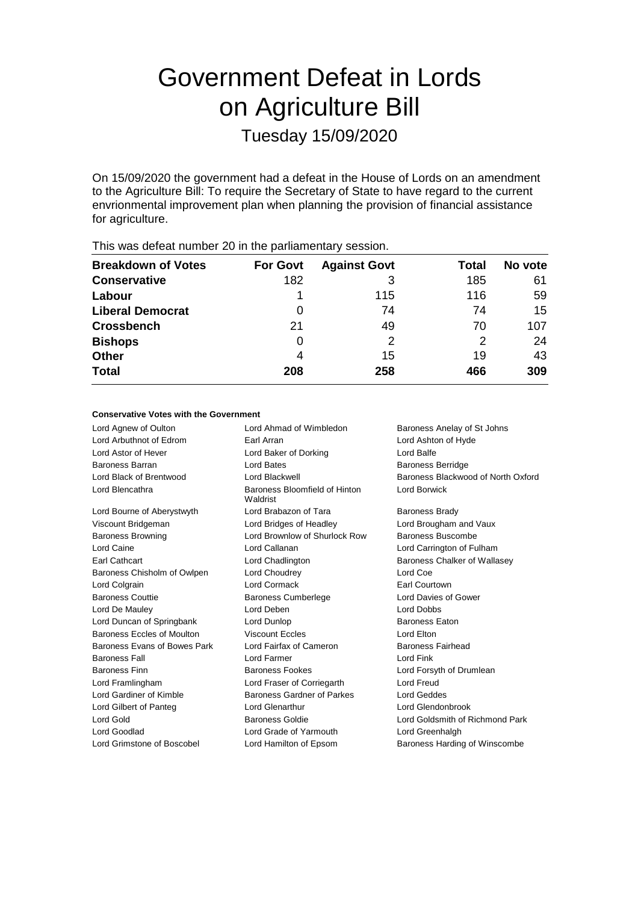# Government Defeat in Lords on Agriculture Bill

Tuesday 15/09/2020

On 15/09/2020 the government had a defeat in the House of Lords on an amendment to the Agriculture Bill: To require the Secretary of State to have regard to the current envrionmental improvement plan when planning the provision of financial assistance for agriculture.

| <b>Breakdown of Votes</b> | <b>For Govt</b> | <b>Against Govt</b> | Total | No vote |  |
|---------------------------|-----------------|---------------------|-------|---------|--|
| <b>Conservative</b>       | 182             | 3                   | 185   | 61      |  |
| Labour                    |                 | 115                 | 116   | 59      |  |
| <b>Liberal Democrat</b>   | 0               | 74                  | 74    | 15      |  |
| <b>Crossbench</b>         | 21              | 49                  | 70    | 107     |  |
| <b>Bishops</b>            | 0               | 2                   | 2     | 24      |  |
| <b>Other</b>              | 4               | 15                  | 19    | 43      |  |
| <b>Total</b>              | 208             | 258                 | 466   | 309     |  |
|                           |                 |                     |       |         |  |

## This was defeat number 20 in the parliamentary session.

#### **Conservative Votes with the Government**

Lord Agnew of Oulton **Lord Ahmad of Wimbledon** Baroness Anelay of St Johns<br>
Lord Arbuthnot of Edrom **Barl Arran** Barl Arran **Baroness** Anelay of St Johns Lord Arbuthnot of Edrom Earl Arran Lord Astor of Hever Lord Baker of Dorking Lord Balfe Baroness Barran **Baroness Baroness Berridge** Lord Bates **Baroness Baroness Berridge** Lord Black of Brentwood Lord Blackwell Baroness Blackwood of North Oxford Lord Blencathra **Baroness** Bloomfield of Hinton Waldrist Lord Borwick Lord Bourne of Aberystwyth Lord Brabazon of Tara Baroness Brady Viscount Bridgeman Lord Bridges of Headley Lord Brougham and Vaux Baroness Browning Lord Brownlow of Shurlock Row Baroness Buscombe Lord Caine Lord Callanan Lord Carrington of Fulham Earl Cathcart Lord Chadlington Baroness Chalker of Wallasey Baroness Chisholm of Owlpen Lord Choudrey Lord Coe Lord Colgrain Lord Cormack Earl Courtown Baroness Couttie Baroness Cumberlege Lord Davies of Gower Lord De Mauley Lord Deben Lord Dobbs Lord Duncan of Springbank Lord Dunlop **Baroness Eaton** Baroness Eccles of Moulton Viscount Eccles Contract Lord Elton Baroness Evans of Bowes Park Lord Fairfax of Cameron Baroness Fairhead Baroness Fall **Lord Farmer** Contract Lord Finance Lord Finance Lord Finance Lord Finance Lord Finance Lord Finance Baroness Finn **Baroness Fookes** Lord Forsyth of Drumlean Lord Framlingham Lord Fraser of Corriegarth Lord Freud Lord Gardiner of Kimble Baroness Gardner of Parkes Lord Geddes Lord Gilbert of Panteg Lord Glenarthur Lord Glendonbrook Lord Gold Baroness Goldie Lord Goldsmith of Richmond Park Lord Goodlad Lord Grade of Yarmouth Lord Greenhalgh Lord Grimstone of Boscobel Lord Hamilton of Epsom Baroness Harding of Winscombe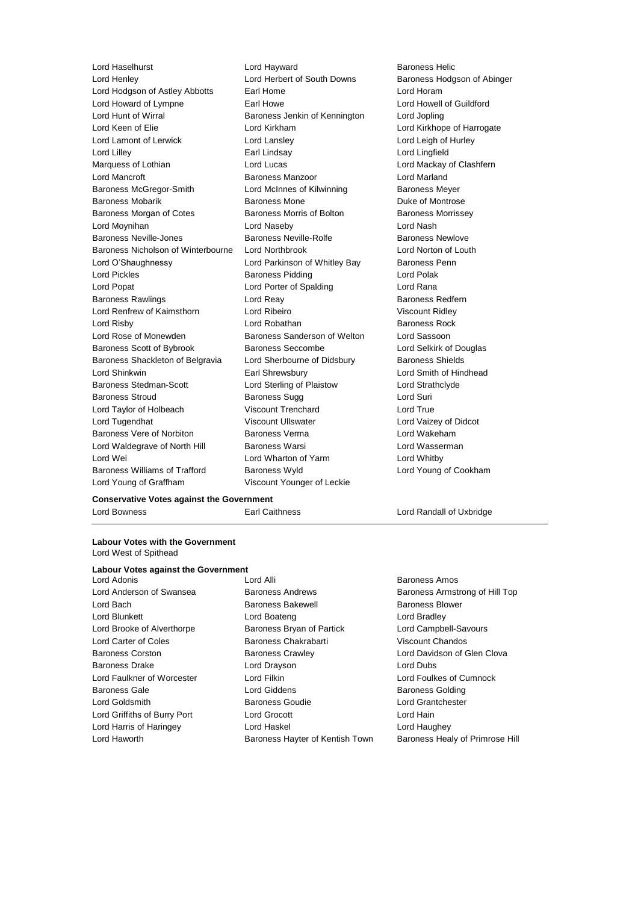Lord Haselhurst Lord Hayward Baroness Helic Lord Henley **Lord Herbert of South Downs** Baroness Hodgson of Abinger Lord Hodgson of Astley Abbotts Earl Home Earl Home Lord Horam Lord Howard of Lympne **Earl Howe** Earl Howe **Lord Howell of Guildford** Lord Hunt of Wirral Baroness Jenkin of Kennington Lord Jopling Lord Keen of Elie Lord Kirkham Lord Kirkhope of Harrogate Lord Lamont of Lerwick Lord Lansley Lord Leigh of Hurley Lord Lilley Earl Lindsay Lord Lingfield Marquess of Lothian **Lord Lucas** Lord Lucas **Lord Mackay of Clashfern** Lord Mancroft **Baroness Manzoor Baroness Manzoor** Lord Marland Baroness McGregor-Smith Lord McInnes of Kilwinning Baroness Meyer Baroness Mobarik **Baroness Mone** Baroness Mone **Duke of Montrose** Baroness Morgan of Cotes **Baroness Morris of Bolton** Baroness Morrissey Lord Moynihan Lord Naseby Lord Nash Baroness Neville-Jones **Baroness Neville-Rolfe** Baroness Newlove Baroness Nicholson of Winterbourne Lord Northbrook Lord Norton of Louth Lord O'Shaughnessy **Lord Parkinson of Whitley Bay** Baroness Penn Lord Pickles **Baroness Pidding Lord Polak** Lord Popat **Lord Porter of Spalding Lord Rana** Baroness Rawlings **Example 20** Lord Reay **Baroness Redfern** Lord Renfrew of Kaimsthorn Lord Ribeiro Viscount Ridley **Lord Risby Communist Communist Lord Robathan Communist Communist Communist Communist Communist Communist Communist Communist Communist Communist Communist Communist Communist Communist Communist Communist Communist Commun** Lord Rose of Monewden **Baroness Sanderson of Welton** Lord Sassoon Baroness Scott of Bybrook Baroness Seccombe Lord Selkirk of Douglas Baroness Shackleton of Belgravia Lord Sherbourne of Didsbury Baroness Shields Lord Shinkwin Earl Shrewsbury Lord Smith of Hindhead Baroness Stedman-Scott Lord Sterling of Plaistow Lord Strathclyde Baroness Stroud Baroness Sugg Lord Suri Lord Taylor of Holbeach Viscount Trenchard Lord True Lord Tugendhat Viscount Ullswater Lord Vaizey of Didcot Baroness Vere of Norbiton Baroness Verma Lord Wakeham Lord Waldegrave of North Hill Baroness Warsi **Lord Wasserman** Lord Wei **Lord Wharton of Yarm** Cord Whatby Lord Whitby Baroness Williams of Trafford Baroness Wyld Lord Young of Cookham Lord Young of Graffham Viscount Younger of Leckie

#### **Conservative Votes against the Government**

**Labour Votes with the Government** Lord West of Spithead

# **Labour Votes against the Government**<br>Lord Adonis

Lord Haworth **Baroness Hayter of Kentish Town** Baroness Healy of Primrose Hill

Lord Adonis Lord Alli Baroness Amos Lord Bach Baroness Bakewell Baroness Bakewell Baroness Blower Lord Blunkett **Lord Boateng** Lord Bradley **Lord Bradley** Lord Brooke of Alverthorpe **Baroness Bryan of Partick** Lord Campbell-Savours Lord Carter of Coles Baroness Chakrabarti Viscount Chandos Baroness Corston **Baroness Crawley Baroness Crawley** Lord Davidson of Glen Clova Baroness Drake Lord Drayson Lord Dubs Lord Faulkner of Worcester Lord Filkin Lord Foulkes of Cumnock Baroness Gale Lord Giddens Baroness Golding Lord Goldsmith Baroness Goudie Lord Grantchester Lord Griffiths of Burry Port Lord Grocott Lord Hain Lord Harris of Haringey Lord Haskel Lord Haughey

Lord Bowness Earl Caithness Lord Randall of Uxbridge

Lord Anderson of Swansea **Baroness Andrews** Baroness Andrews Baroness Armstrong of Hill Top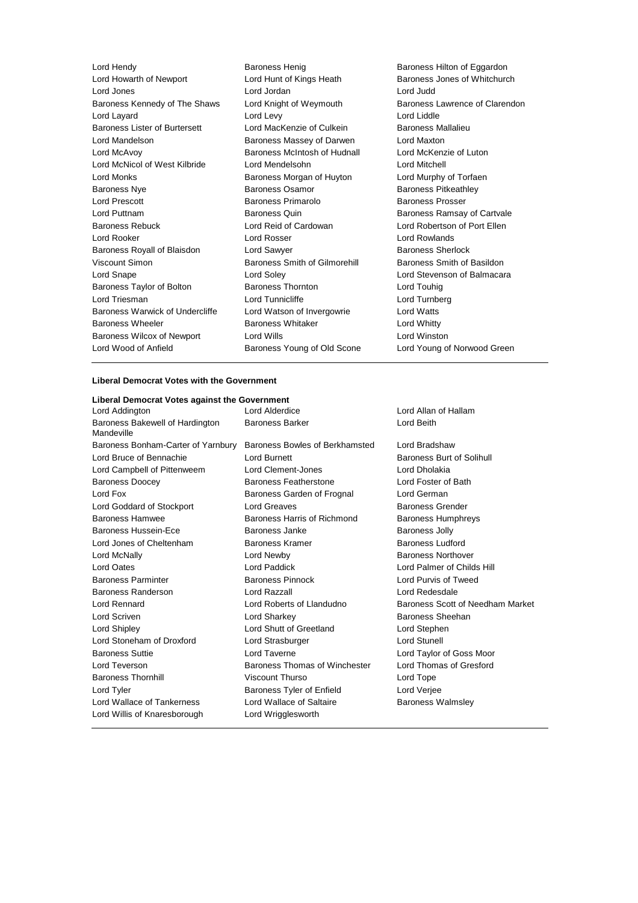Lord Hendy **Baroness Henig Baroness Henig Baroness Hilton of Eggardon** Lord Howarth of Newport Lord Hunt of Kings Heath Baroness Jones of Whitchurch Lord Jones Lord Jordan Lord Judd Baroness Kennedy of The Shaws Lord Knight of Weymouth Baroness Lawrence of Clarendon Lord Layard Lord Levy Lord Liddle Baroness Lister of Burtersett Lord MacKenzie of Culkein Baroness Mallalieu Lord Mandelson Baroness Massey of Darwen Lord Maxton Lord McAvoy Baroness McIntosh of Hudnall Lord McKenzie of Luton Lord McNicol of West Kilbride Lord Mendelsohn Lord Mitchell Lord Monks Baroness Morgan of Huyton Lord Murphy of Torfaen Baroness Nye **Baroness Osamor** Baroness Pitkeathley Lord Prescott Baroness Primarolo Baroness Prosser Lord Puttnam Baroness Quin Baroness Ramsay of Cartvale Baroness Rebuck Lord Reid of Cardowan Lord Robertson of Port Ellen Lord Rooker Lord Rosser Lord Rowlands Baroness Royall of Blaisdon Lord Sawyer **Baroness Sherlock** Baroness Sherlock Viscount Simon **Baroness Smith of Gilmorehill** Baroness Smith of Basildon Lord Snape Lord Soley Lord Stevenson of Balmacara Baroness Taylor of Bolton **Baroness Thornton** Baroness Thornton **Baroness** Thornton Lord Touhig Lord Triesman Lord Tunnicliffe Lord Turnberg Baroness Warwick of Undercliffe Lord Watson of Invergowrie Lord Watts Baroness Wheeler **Baroness Whitaker** Lord Whitty Baroness Wilcox of Newport Lord Wills Lord Winston Lord Wood of Anfield Baroness Young of Old Scone Lord Young of Norwood Green

#### **Liberal Democrat Votes with the Government**

#### **Liberal Democrat Votes against the Government**

Lord Addington Lord Alderdice Lord Allan of Hallam Baroness Bakewell of Hardington Mandeville Baroness Barker **Lord Beith** Baroness Bonham-Carter of Yarnbury Baroness Bowles of Berkhamsted Lord Bradshaw Lord Bruce of Bennachie **Lord Burnett** Lord Burnett **Baroness Burt of Solihull** Lord Campbell of Pittenweem Lord Clement-Jones Lord Dholakia Baroness Doocey Baroness Featherstone Lord Foster of Bath Lord Fox Baroness Garden of Frognal Lord German Lord Goddard of Stockport Lord Greaves **Baroness Grender** Baroness Grender Baroness Hamwee Baroness Harris of Richmond Baroness Humphreys Baroness Hussein-Ece **Baroness Janke** Baroness John Baroness Jolly Lord Jones of Cheltenham Baroness Kramer Baroness Ludford Lord McNally Lord Newby Baroness Northover Lord Oates Lord Paddick Lord Palmer of Childs Hill Baroness Parminter Baroness Pinnock Lord Purvis of Tweed Baroness Randerson Lord Razzall Lord Redesdale Lord Rennard Lord Roberts of Llandudno Baroness Scott of Needham Market Lord Scriven **Lord Sharkey Conserverse Sheehan** Lord Shipley Lord Shutt of Greetland Lord Stephen Lord Stoneham of Droxford Lord Strasburger Lord Stunell Baroness Suttie Lord Taverne Lord Taylor of Goss Moor Lord Teverson **Baroness Thomas of Winchester** Lord Thomas of Gresford Baroness Thornhill Viscount Thurso Lord Tope Lord Tyler Baroness Tyler of Enfield Lord Verjee Lord Wallace of Tankerness **Lord Wallace of Saltaire** Baroness Walmsley Lord Willis of Knaresborough Lord Wrigglesworth